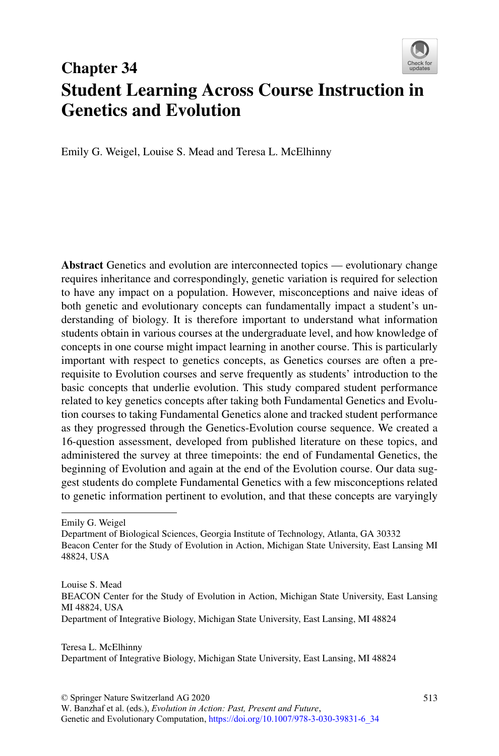

# Chapter 34 Student Learning Across Course Instruction in Genetics and Evolution

Emily G. Weigel, Louise S. Mead and Teresa L. McElhinny

Abstract Genetics and evolution are interconnected topics — evolutionary change requires inheritance and correspondingly, genetic variation is required for selection to have any impact on a population. However, misconceptions and naive ideas of both genetic and evolutionary concepts can fundamentally impact a student's understanding of biology. It is therefore important to understand what information students obtain in various courses at the undergraduate level, and how knowledge of concepts in one course might impact learning in another course. This is particularly important with respect to genetics concepts, as Genetics courses are often a prerequisite to Evolution courses and serve frequently as students' introduction to the basic concepts that underlie evolution. This study compared student performance related to key genetics concepts after taking both Fundamental Genetics and Evolution courses to taking Fundamental Genetics alone and tracked student performance as they progressed through the Genetics-Evolution course sequence. We created a 16-question assessment, developed from published literature on these topics, and administered the survey at three timepoints: the end of Fundamental Genetics, the beginning of Evolution and again at the end of the Evolution course. Our data suggest students do complete Fundamental Genetics with a few misconceptions related to genetic information pertinent to evolution, and that these concepts are varyingly

Emily G. Weigel

Louise S. Mead BEACON Center for the Study of Evolution in Action, Michigan State University, East Lansing MI 48824, USA Department of Integrative Biology, Michigan State University, East Lansing, MI 48824

Teresa L. McElhinny Department of Integrative Biology, Michigan State University, East Lansing, MI 48824

© Springer Nature Switzerland AG 2020 513

Genetic and Evolutionary Computation, [https://doi.org/10.1007/978-3-030-39831-6](https://doi.org/10.1007/978-3-030-39831-6_34)\_34 W. Banzhaf et al. (eds.), *Evolution in Action: Past, Present and Future*,

Department of Biological Sciences, Georgia Institute of Technology, Atlanta, GA 30332 Beacon Center for the Study of Evolution in Action, Michigan State University, East Lansing MI 48824, USA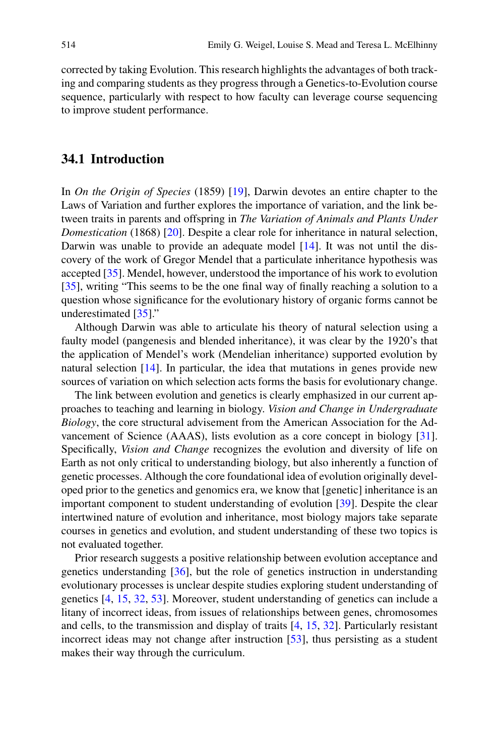corrected by taking Evolution. This research highlights the advantages of both tracking and comparing students as they progress through a Genetics-to-Evolution course sequence, particularly with respect to how faculty can leverage course sequencing to improve student performance.

# 34.1 Introduction

In *On the Origin of Species* (1859) [[19\]](#page-15-0), Darwin devotes an entire chapter to the Laws of Variation and further explores the importance of variation, and the link between traits in parents and offspring in *The Variation of Animals and Plants Under Domestication* (1868) [\[20](#page-15-1)]. Despite a clear role for inheritance in natural selection, Darwin was unable to provide an adequate model [\[14](#page-15-2)]. It was not until the discovery of the work of Gregor Mendel that a particulate inheritance hypothesis was accepted [\[35](#page-16-0)]. Mendel, however, understood the importance of his work to evolution [\[35](#page-16-0)], writing "This seems to be the one final way of finally reaching a solution to a question whose significance for the evolutionary history of organic forms cannot be underestimated [[35\]](#page-16-0)."

Although Darwin was able to articulate his theory of natural selection using a faulty model (pangenesis and blended inheritance), it was clear by the 1920's that the application of Mendel's work (Mendelian inheritance) supported evolution by natural selection [\[14](#page-15-2)]. In particular, the idea that mutations in genes provide new sources of variation on which selection acts forms the basis for evolutionary change.

The link between evolution and genetics is clearly emphasized in our current approaches to teaching and learning in biology. *Vision and Change in Undergraduate Biology*, the core structural advisement from the American Association for the Advancement of Science (AAAS), lists evolution as a core concept in biology [[31\]](#page-16-1). Specifically, *Vision and Change* recognizes the evolution and diversity of life on Earth as not only critical to understanding biology, but also inherently a function of genetic processes. Although the core foundational idea of evolution originally developed prior to the genetics and genomics era, we know that [genetic] inheritance is an important component to student understanding of evolution [\[39](#page-16-2)]. Despite the clear intertwined nature of evolution and inheritance, most biology majors take separate courses in genetics and evolution, and student understanding of these two topics is not evaluated together.

Prior research suggests a positive relationship between evolution acceptance and genetics understanding [\[36](#page-16-3)], but the role of genetics instruction in understanding evolutionary processes is unclear despite studies exploring student understanding of genetics [[4,](#page-14-0) [15,](#page-15-3) [32](#page-16-4), [53](#page-16-5)]. Moreover, student understanding of genetics can include a litany of incorrect ideas, from issues of relationships between genes, chromosomes and cells, to the transmission and display of traits [\[4](#page-14-0), [15](#page-15-3), [32\]](#page-16-4). Particularly resistant incorrect ideas may not change after instruction [[53\]](#page-16-5), thus persisting as a student makes their way through the curriculum.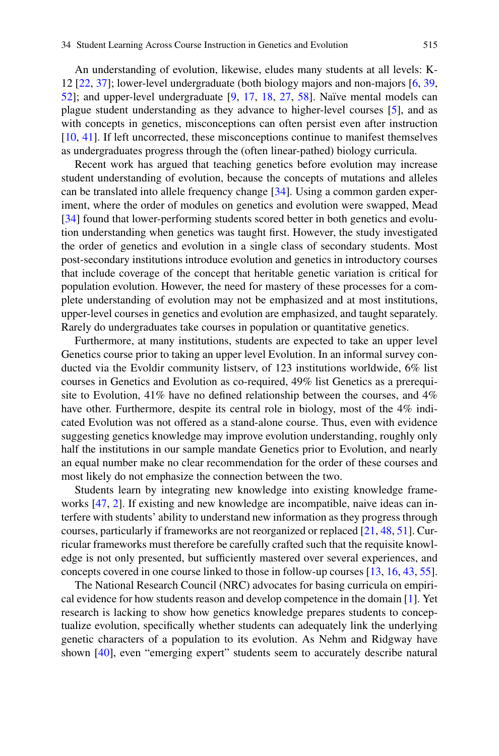An understanding of evolution, likewise, eludes many students at all levels: K-12 [[22,](#page-15-4) [37\]](#page-16-6); lower-level undergraduate (both biology majors and non-majors [\[6](#page-14-1), [39](#page-16-2),  $52$ ]; and upper-level undergraduate  $[9, 17, 18, 27, 58]$  $[9, 17, 18, 27, 58]$  $[9, 17, 18, 27, 58]$  $[9, 17, 18, 27, 58]$  $[9, 17, 18, 27, 58]$  $[9, 17, 18, 27, 58]$  $[9, 17, 18, 27, 58]$  $[9, 17, 18, 27, 58]$  $[9, 17, 18, 27, 58]$  $[9, 17, 18, 27, 58]$ . Naïve mental models can plague student understanding as they advance to higher-level courses [[5\]](#page-14-2), and as with concepts in genetics, misconceptions can often persist even after instruction [\[10](#page-15-9), [41](#page-16-8)]. If left uncorrected, these misconceptions continue to manifest themselves as undergraduates progress through the (often linear-pathed) biology curricula.

Recent work has argued that teaching genetics before evolution may increase student understanding of evolution, because the concepts of mutations and alleles can be translated into allele frequency change [[34\]](#page-16-9). Using a common garden experiment, where the order of modules on genetics and evolution were swapped, Mead [\[34](#page-16-9)] found that lower-performing students scored better in both genetics and evolution understanding when genetics was taught first. However, the study investigated the order of genetics and evolution in a single class of secondary students. Most post-secondary institutions introduce evolution and genetics in introductory courses that include coverage of the concept that heritable genetic variation is critical for population evolution. However, the need for mastery of these processes for a complete understanding of evolution may not be emphasized and at most institutions, upper-level courses in genetics and evolution are emphasized, and taught separately. Rarely do undergraduates take courses in population or quantitative genetics.

Furthermore, at many institutions, students are expected to take an upper level Genetics course prior to taking an upper level Evolution. In an informal survey conducted via the Evoldir community listserv, of 123 institutions worldwide, 6% list courses in Genetics and Evolution as co-required, 49% list Genetics as a prerequisite to Evolution, 41% have no defined relationship between the courses, and 4% have other. Furthermore, despite its central role in biology, most of the 4% indicated Evolution was not offered as a stand-alone course. Thus, even with evidence suggesting genetics knowledge may improve evolution understanding, roughly only half the institutions in our sample mandate Genetics prior to Evolution, and nearly an equal number make no clear recommendation for the order of these courses and most likely do not emphasize the connection between the two.

Students learn by integrating new knowledge into existing knowledge frameworks [\[47](#page-16-10), [2](#page-14-3)]. If existing and new knowledge are incompatible, naive ideas can interfere with students' ability to understand new information as they progress through courses, particularly if frameworks are not reorganized or replaced [[21,](#page-15-10) [48](#page-16-11), [51\]](#page-16-12). Curricular frameworks must therefore be carefully crafted such that the requisite knowledge is not only presented, but sufficiently mastered over several experiences, and concepts covered in one course linked to those in follow-up courses [[13,](#page-15-11) [16,](#page-15-12) [43](#page-16-13), [55\]](#page-17-1).

The National Research Council (NRC) advocates for basing curricula on empirical evidence for how students reason and develop competence in the domain [\[1](#page-14-4)]. Yet research is lacking to show how genetics knowledge prepares students to conceptualize evolution, specifically whether students can adequately link the underlying genetic characters of a population to its evolution. As Nehm and Ridgway have shown [[40](#page-16-14)], even "emerging expert" students seem to accurately describe natural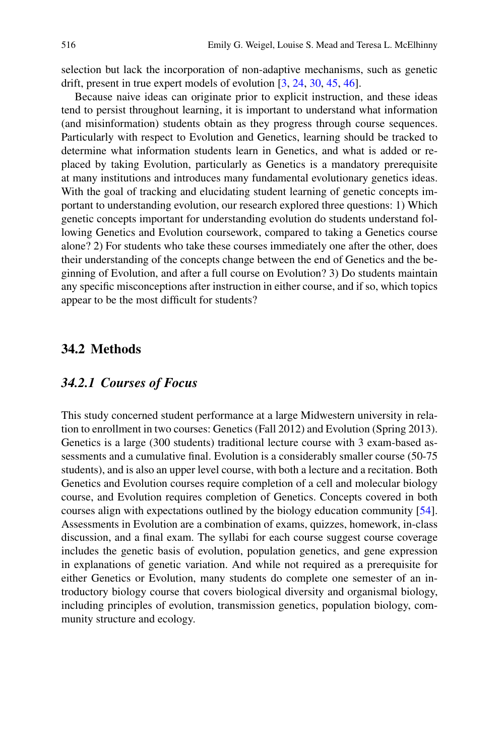selection but lack the incorporation of non-adaptive mechanisms, such as genetic drift, present in true expert models of evolution [[3,](#page-14-5) [24,](#page-15-13) [30,](#page-15-14) [45,](#page-16-15) [46\]](#page-16-16).

Because naive ideas can originate prior to explicit instruction, and these ideas tend to persist throughout learning, it is important to understand what information (and misinformation) students obtain as they progress through course sequences. Particularly with respect to Evolution and Genetics, learning should be tracked to determine what information students learn in Genetics, and what is added or replaced by taking Evolution, particularly as Genetics is a mandatory prerequisite at many institutions and introduces many fundamental evolutionary genetics ideas. With the goal of tracking and elucidating student learning of genetic concepts important to understanding evolution, our research explored three questions: 1) Which genetic concepts important for understanding evolution do students understand following Genetics and Evolution coursework, compared to taking a Genetics course alone? 2) For students who take these courses immediately one after the other, does their understanding of the concepts change between the end of Genetics and the beginning of Evolution, and after a full course on Evolution? 3) Do students maintain any specific misconceptions after instruction in either course, and if so, which topics appear to be the most difficult for students?

### 34.2 Methods

# *34.2.1 Courses of Focus*

This study concerned student performance at a large Midwestern university in relation to enrollment in two courses: Genetics (Fall 2012) and Evolution (Spring 2013). Genetics is a large (300 students) traditional lecture course with 3 exam-based assessments and a cumulative final. Evolution is a considerably smaller course (50-75 students), and is also an upper level course, with both a lecture and a recitation. Both Genetics and Evolution courses require completion of a cell and molecular biology course, and Evolution requires completion of Genetics. Concepts covered in both courses align with expectations outlined by the biology education community [[54\]](#page-17-2). Assessments in Evolution are a combination of exams, quizzes, homework, in-class discussion, and a final exam. The syllabi for each course suggest course coverage includes the genetic basis of evolution, population genetics, and gene expression in explanations of genetic variation. And while not required as a prerequisite for either Genetics or Evolution, many students do complete one semester of an introductory biology course that covers biological diversity and organismal biology, including principles of evolution, transmission genetics, population biology, community structure and ecology.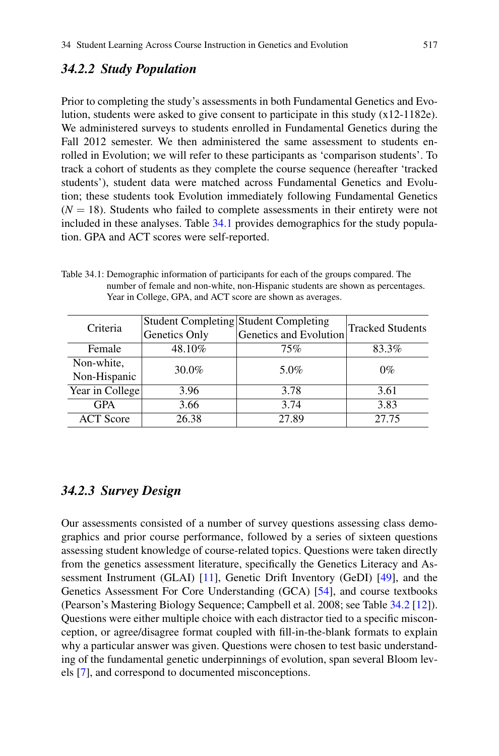# *34.2.2 Study Population*

<span id="page-4-0"></span>Prior to completing the study's assessments in both Fundamental Genetics and Evolution, students were asked to give consent to participate in this study (x12-1182e). We administered surveys to students enrolled in Fundamental Genetics during the Fall 2012 semester. We then administered the same assessment to students enrolled in Evolution; we will refer to these participants as 'comparison students'. To track a cohort of students as they complete the course sequence (hereafter 'tracked students'), student data were matched across Fundamental Genetics and Evolution; these students took Evolution immediately following Fundamental Genetics  $(N = 18)$ . Students who failed to complete assessments in their entirety were not included in these analyses. Table [34.1](#page-4-0) provides demographics for the study population. GPA and ACT scores were self-reported.

Table 34.1: Demographic information of participants for each of the groups compared. The number of female and non-white, non-Hispanic students are shown as percentages. Year in College, GPA, and ACT score are shown as averages.

| Criteria                   | Genetics Only | <b>Student Completing Student Completing</b><br>Genetics and Evolution | <b>Tracked Students</b> |
|----------------------------|---------------|------------------------------------------------------------------------|-------------------------|
| Female                     | 48.10%        | 75%                                                                    | 83.3%                   |
| Non-white,<br>Non-Hispanic | 30.0%         | 5.0%                                                                   | $0\%$                   |
| Year in College            | 3.96          | 3.78                                                                   | 3.61                    |
| <b>GPA</b>                 | 3.66          | 3.74                                                                   | 3.83                    |
| <b>ACT</b> Score           | 26.38         | 27.89                                                                  | 27.75                   |

# *34.2.3 Survey Design*

Our assessments consisted of a number of survey questions assessing class demographics and prior course performance, followed by a series of sixteen questions assessing student knowledge of course-related topics. Questions were taken directly from the genetics assessment literature, specifically the Genetics Literacy and Assessment Instrument (GLAI) [[11\]](#page-15-15), Genetic Drift Inventory (GeDI) [\[49](#page-16-17)], and the Genetics Assessment For Core Understanding (GCA) [\[54](#page-17-2)], and course textbooks (Pearson's Mastering Biology Sequence; Campbell et al. 2008; see Table [34.2](#page-5-0) [[12\]](#page-15-16)). Questions were either multiple choice with each distractor tied to a specific misconception, or agree/disagree format coupled with fill-in-the-blank formats to explain why a particular answer was given. Questions were chosen to test basic understanding of the fundamental genetic underpinnings of evolution, span several Bloom levels [[7\]](#page-14-6), and correspond to documented misconceptions.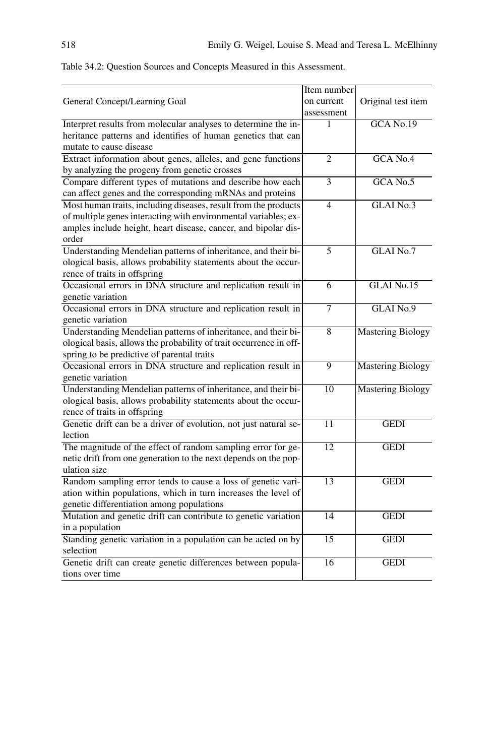<span id="page-5-0"></span>

| Table 34.2: Question Sources and Concepts Measured in this Assessment. |  |  |
|------------------------------------------------------------------------|--|--|
|------------------------------------------------------------------------|--|--|

|                                                                    | Item number              |                          |
|--------------------------------------------------------------------|--------------------------|--------------------------|
| General Concept/Learning Goal                                      | on current               | Original test item       |
|                                                                    | assessment               |                          |
| Interpret results from molecular analyses to determine the in-     | 1                        | GCA No.19                |
| heritance patterns and identifies of human genetics that can       |                          |                          |
| mutate to cause disease                                            |                          |                          |
| Extract information about genes, alleles, and gene functions       | $\overline{2}$           | GCA No.4                 |
| by analyzing the progeny from genetic crosses                      |                          |                          |
| Compare different types of mutations and describe how each         | 3                        | GCA No.5                 |
| can affect genes and the corresponding mRNAs and proteins          |                          |                          |
| Most human traits, including diseases, result from the products    | $\overline{\mathcal{L}}$ | GLAI No.3                |
| of multiple genes interacting with environmental variables; ex-    |                          |                          |
| amples include height, heart disease, cancer, and bipolar dis-     |                          |                          |
| order                                                              |                          |                          |
| Understanding Mendelian patterns of inheritance, and their bi-     | 5                        | GLAI No.7                |
| ological basis, allows probability statements about the occur-     |                          |                          |
| rence of traits in offspring                                       |                          |                          |
| Occasional errors in DNA structure and replication result in       | 6                        | GLAI No.15               |
| genetic variation                                                  |                          |                          |
| Occasional errors in DNA structure and replication result in       | 7                        | GLAI No.9                |
| genetic variation                                                  |                          |                          |
| Understanding Mendelian patterns of inheritance, and their bi-     | $\overline{8}$           | <b>Mastering Biology</b> |
| ological basis, allows the probability of trait occurrence in off- |                          |                          |
| spring to be predictive of parental traits                         |                          |                          |
| Occasional errors in DNA structure and replication result in       | 9                        | <b>Mastering Biology</b> |
| genetic variation                                                  |                          |                          |
| Understanding Mendelian patterns of inheritance, and their bi-     | 10                       | <b>Mastering Biology</b> |
| ological basis, allows probability statements about the occur-     |                          |                          |
| rence of traits in offspring                                       |                          |                          |
| Genetic drift can be a driver of evolution, not just natural se-   | 11                       | <b>GEDI</b>              |
| lection                                                            |                          |                          |
| The magnitude of the effect of random sampling error for ge-       | $\overline{12}$          | <b>GEDI</b>              |
| netic drift from one generation to the next depends on the pop-    |                          |                          |
| ulation size                                                       |                          |                          |
| Random sampling error tends to cause a loss of genetic vari-       | 13                       | <b>GEDI</b>              |
| ation within populations, which in turn increases the level of     |                          |                          |
| genetic differentiation among populations                          |                          |                          |
| Mutation and genetic drift can contribute to genetic variation     | 14                       | <b>GEDI</b>              |
| in a population                                                    |                          |                          |
| Standing genetic variation in a population can be acted on by      | $\overline{15}$          | <b>GEDI</b>              |
| selection                                                          |                          |                          |
| Genetic drift can create genetic differences between popula-       | 16                       | <b>GEDI</b>              |
| tions over time                                                    |                          |                          |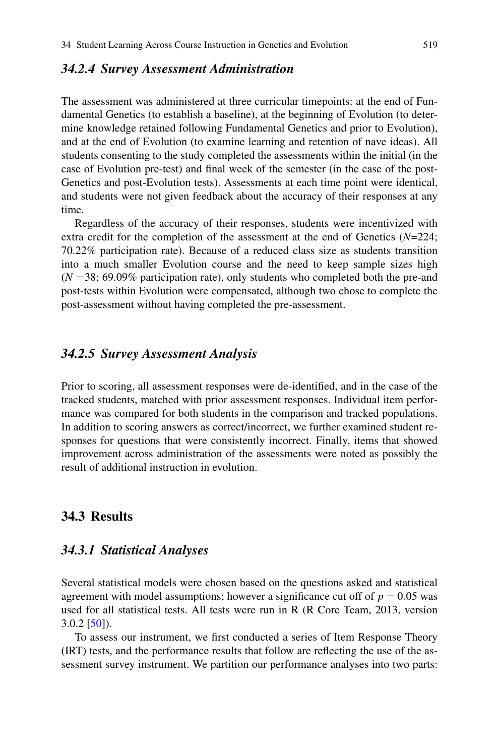#### *34.2.4 Survey Assessment Administration*

The assessment was administered at three curricular timepoints: at the end of Fundamental Genetics (to establish a baseline), at the beginning of Evolution (to determine knowledge retained following Fundamental Genetics and prior to Evolution), and at the end of Evolution (to examine learning and retention of nave ideas). All students consenting to the study completed the assessments within the initial (in the case of Evolution pre-test) and final week of the semester (in the case of the post-Genetics and post-Evolution tests). Assessments at each time point were identical, and students were not given feedback about the accuracy of their responses at any time.

Regardless of the accuracy of their responses, students were incentivized with extra credit for the completion of the assessment at the end of Genetics (*N*=224; 70.22% participation rate). Because of a reduced class size as students transition into a much smaller Evolution course and the need to keep sample sizes high  $(N = 38; 69.09\%$  participation rate), only students who completed both the pre-and post-tests within Evolution were compensated, although two chose to complete the post-assessment without having completed the pre-assessment.

### *34.2.5 Survey Assessment Analysis*

Prior to scoring, all assessment responses were de-identified, and in the case of the tracked students, matched with prior assessment responses. Individual item performance was compared for both students in the comparison and tracked populations. In addition to scoring answers as correct/incorrect, we further examined student responses for questions that were consistently incorrect. Finally, items that showed improvement across administration of the assessments were noted as possibly the result of additional instruction in evolution.

# 34.3 Results

#### *34.3.1 Statistical Analyses*

Several statistical models were chosen based on the questions asked and statistical agreement with model assumptions; however a significance cut off of  $p = 0.05$  was used for all statistical tests. All tests were run in R (R Core Team, 2013, version  $3.0.2$  [[50\]](#page-16-18)).

To assess our instrument, we first conducted a series of Item Response Theory (IRT) tests, and the performance results that follow are reflecting the use of the assessment survey instrument. We partition our performance analyses into two parts: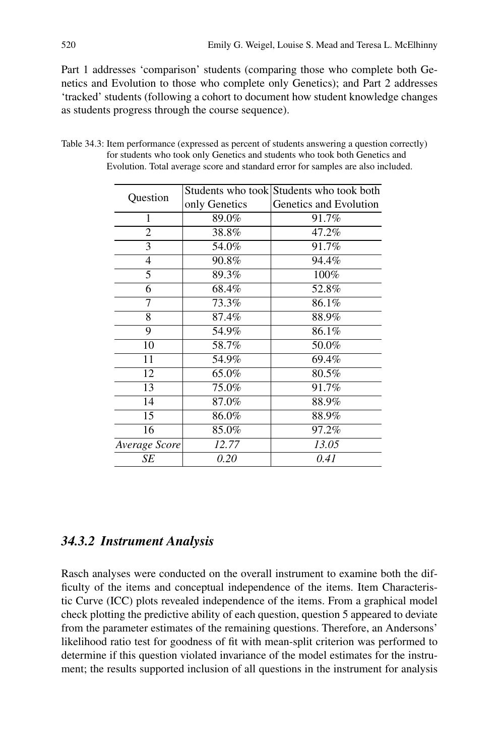Part 1 addresses 'comparison' students (comparing those who complete both Genetics and Evolution to those who complete only Genetics); and Part 2 addresses 'tracked' students (following a cohort to document how student knowledge changes as students progress through the course sequence).

|               |               | Students who took Students who took both |
|---------------|---------------|------------------------------------------|
| Question      | only Genetics | Genetics and Evolution                   |
| 1             | 89.0%         | 91.7%                                    |
| 2             | 38.8%         | 47.2%                                    |
| 3             | 54.0%         | 91.7%                                    |
| 4             | 90.8%         | 94.4%                                    |
| 5             | 89.3%         | 100%                                     |
| 6             | 68.4%         | 52.8%                                    |
| 7             | 73.3%         | 86.1%                                    |
| 8             | 87.4%         | 88.9%                                    |
| 9             | 54.9%         | 86.1%                                    |
| 10            | 58.7%         | 50.0%                                    |
| 11            | 54.9%         | 69.4%                                    |
| 12            | 65.0%         | 80.5%                                    |
| 13            | 75.0%         | 91.7%                                    |
| 14            | 87.0%         | 88.9%                                    |
| 15            | 86.0%         | 88.9%                                    |
| 16            | 85.0%         | 97.2%                                    |
| Average Score | 12.77         | 13.05                                    |
| SЕ            | 0.20          | 0.41                                     |

Table 34.3: Item performance (expressed as percent of students answering a question correctly) for students who took only Genetics and students who took both Genetics and Evolution. Total average score and standard error for samples are also included.

# *34.3.2 Instrument Analysis*

Rasch analyses were conducted on the overall instrument to examine both the difficulty of the items and conceptual independence of the items. Item Characteristic Curve (ICC) plots revealed independence of the items. From a graphical model check plotting the predictive ability of each question, question 5 appeared to deviate from the parameter estimates of the remaining questions. Therefore, an Andersons' likelihood ratio test for goodness of fit with mean-split criterion was performed to determine if this question violated invariance of the model estimates for the instrument; the results supported inclusion of all questions in the instrument for analysis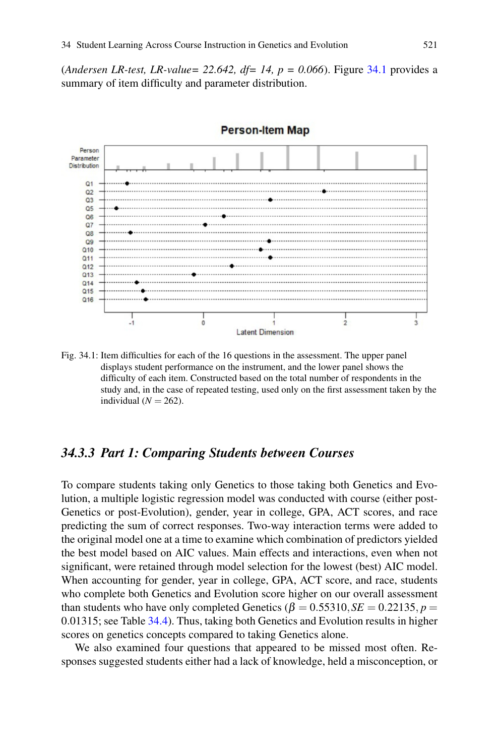<span id="page-8-0"></span>(*Andersen LR-test, LR-value= 22.642, df= 14, p = 0.066*). Figure [34.1](#page-8-0) provides a summary of item difficulty and parameter distribution.



#### **Person-Item Map**

Fig. 34.1: Item difficulties for each of the 16 questions in the assessment. The upper panel displays student performance on the instrument, and the lower panel shows the difficulty of each item. Constructed based on the total number of respondents in the study and, in the case of repeated testing, used only on the first assessment taken by the individual  $(N = 262)$ .

#### *34.3.3 Part 1: Comparing Students between Courses*

To compare students taking only Genetics to those taking both Genetics and Evolution, a multiple logistic regression model was conducted with course (either post-Genetics or post-Evolution), gender, year in college, GPA, ACT scores, and race predicting the sum of correct responses. Two-way interaction terms were added to the original model one at a time to examine which combination of predictors yielded the best model based on AIC values. Main effects and interactions, even when not significant, were retained through model selection for the lowest (best) AIC model. When accounting for gender, year in college, GPA, ACT score, and race, students who complete both Genetics and Evolution score higher on our overall assessment than students who have only completed Genetics ( $\beta = 0.55310$ ,  $SE = 0.22135$ ,  $p =$ 0.01315; see Table [34.4\)](#page-9-0). Thus, taking both Genetics and Evolution results in higher scores on genetics concepts compared to taking Genetics alone.

We also examined four questions that appeared to be missed most often. Responses suggested students either had a lack of knowledge, held a misconception, or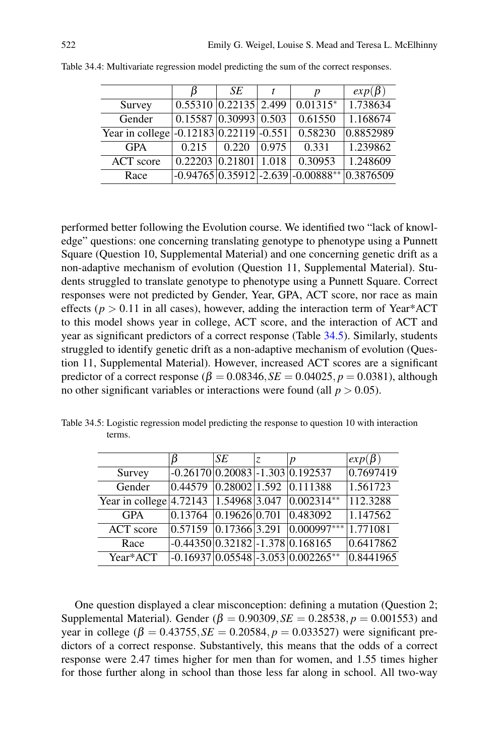<span id="page-9-0"></span>

|       | SE    |       | p                                                                                                                          | $exp(\beta)$                                                    |
|-------|-------|-------|----------------------------------------------------------------------------------------------------------------------------|-----------------------------------------------------------------|
|       |       |       | $0.01315*$                                                                                                                 | 1.738634                                                        |
|       |       |       | 0.61550                                                                                                                    | 1.168674                                                        |
|       |       |       | 0.58230                                                                                                                    | $0.\overline{8852989}$                                          |
| 0.215 | 0.220 | 0.975 | 0.331                                                                                                                      | 1.239862                                                        |
|       |       | 1.018 | 0.30953                                                                                                                    | 1.248609                                                        |
|       |       |       |                                                                                                                            | 0.3876509                                                       |
|       |       |       | $0.55310$ $0.22135$ 2.499<br>$0.15587$ 0.30993 0.503<br>Year in college - 0.12183 0.22119 - 0.551<br>$0.22203$ $ 0.21801 $ | $-0.94765 \mid 0.35912 \mid -2.639 \mid -0.00888$ <sup>**</sup> |

Table 34.4: Multivariate regression model predicting the sum of the correct responses.

<span id="page-9-1"></span>performed better following the Evolution course. We identified two "lack of knowledge" questions: one concerning translating genotype to phenotype using a Punnett Square (Question 10, Supplemental Material) and one concerning genetic drift as a non-adaptive mechanism of evolution (Question 11, Supplemental Material). Students struggled to translate genotype to phenotype using a Punnett Square. Correct responses were not predicted by Gender, Year, GPA, ACT score, nor race as main effects ( $p > 0.11$  in all cases), however, adding the interaction term of Year\*ACT to this model shows year in college, ACT score, and the interaction of ACT and year as significant predictors of a correct response (Table [34.5\)](#page-9-1). Similarly, students struggled to identify genetic drift as a non-adaptive mechanism of evolution (Question 11, Supplemental Material). However, increased ACT scores are a significant predictor of a correct response  $(\beta = 0.08346, SE = 0.04025, p = 0.0381)$ , although no other significant variables or interactions were found (all  $p > 0.05$ ).

|                                                     | <b>SE</b> | Z | D                                                                         | $exp(\beta)$      |
|-----------------------------------------------------|-----------|---|---------------------------------------------------------------------------|-------------------|
| Survey                                              |           |   | $-0.26170 \mid 0.20083 \mid -1.303 \mid 0.192537$                         | 0.7697419         |
| Gender                                              |           |   | $\overline{0.44579}$ $\overline{0.28002}$ 1.592 $\overline{0.111388}$     | 1.561723          |
| Year in college $ 4.72143 1.54968 3.047 0.002314**$ |           |   |                                                                           | 112.3288          |
| <b>GPA</b>                                          |           |   | $0.13764$ 0.19626 0.701 0.483092                                          | 1.147562          |
| <b>ACT</b> score                                    |           |   | $\overline{0.57159}$ $\overline{0.17366}$ 3.291 $\overline{0.000997}$ *** | $\sqrt{1.771081}$ |
| Race                                                |           |   | $-0.44350 \mid 0.32182 \mid -1.378 \mid 0.168165$                         | 0.6417862         |
| Year*ACT                                            |           |   | $-0.16937 0.05548 -3.053 0.002265**$                                      | 0.8441965         |

Table 34.5: Logistic regression model predicting the response to question 10 with interaction terms.

One question displayed a clear misconception: defining a mutation (Question 2; Supplemental Material). Gender ( $\beta = 0.90309$ ,  $SE = 0.28538$ ,  $p = 0.001553$ ) and year in college  $(\beta = 0.43755, SE = 0.20584, p = 0.033527)$  were significant predictors of a correct response. Substantively, this means that the odds of a correct response were 2.47 times higher for men than for women, and 1.55 times higher for those further along in school than those less far along in school. All two-way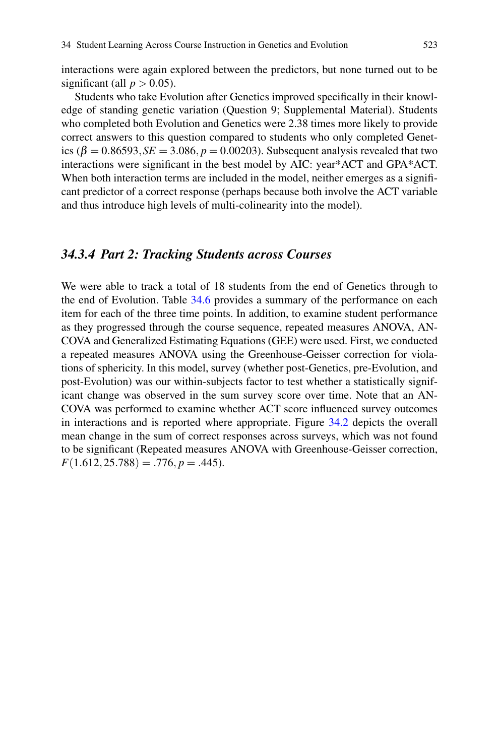interactions were again explored between the predictors, but none turned out to be significant (all  $p > 0.05$ ).

Students who take Evolution after Genetics improved specifically in their knowledge of standing genetic variation (Question 9; Supplemental Material). Students who completed both Evolution and Genetics were 2.38 times more likely to provide correct answers to this question compared to students who only completed Genetics ( $\beta = 0.86593$ ,  $SE = 3.086$ ,  $p = 0.00203$ ). Subsequent analysis revealed that two interactions were significant in the best model by AIC: year\*ACT and GPA\*ACT. When both interaction terms are included in the model, neither emerges as a significant predictor of a correct response (perhaps because both involve the ACT variable and thus introduce high levels of multi-colinearity into the model).

### *34.3.4 Part 2: Tracking Students across Courses*

We were able to track a total of 18 students from the end of Genetics through to the end of Evolution. Table [34.6](#page-12-0) provides a summary of the performance on each item for each of the three time points. In addition, to examine student performance as they progressed through the course sequence, repeated measures ANOVA, AN-COVA and Generalized Estimating Equations (GEE) were used. First, we conducted a repeated measures ANOVA using the Greenhouse-Geisser correction for violations of sphericity. In this model, survey (whether post-Genetics, pre-Evolution, and post-Evolution) was our within-subjects factor to test whether a statistically significant change was observed in the sum survey score over time. Note that an AN-COVA was performed to examine whether ACT score influenced survey outcomes in interactions and is reported where appropriate. Figure [34.2](#page-11-0) depicts the overall mean change in the sum of correct responses across surveys, which was not found to be significant (Repeated measures ANOVA with Greenhouse-Geisser correction,  $F(1.612, 25.788) = .776, p = .445.$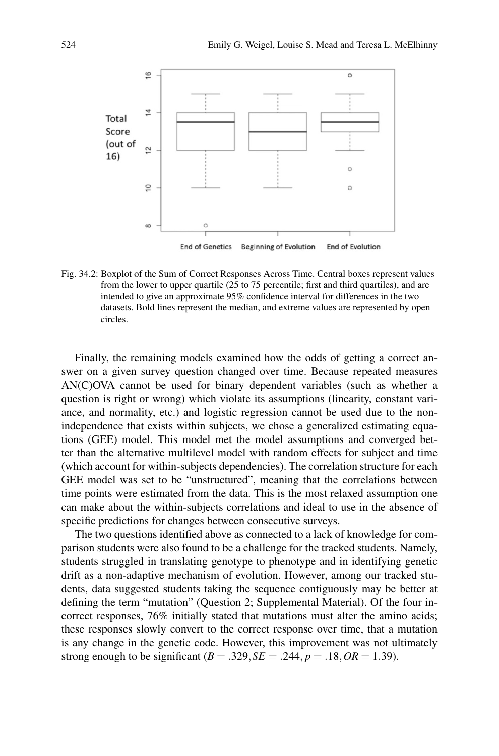<span id="page-11-0"></span>

Fig. 34.2: Boxplot of the Sum of Correct Responses Across Time. Central boxes represent values from the lower to upper quartile (25 to 75 percentile; first and third quartiles), and are intended to give an approximate 95% confidence interval for differences in the two datasets. Bold lines represent the median, and extreme values are represented by open circles.

Finally, the remaining models examined how the odds of getting a correct answer on a given survey question changed over time. Because repeated measures AN(C)OVA cannot be used for binary dependent variables (such as whether a question is right or wrong) which violate its assumptions (linearity, constant variance, and normality, etc.) and logistic regression cannot be used due to the nonindependence that exists within subjects, we chose a generalized estimating equations (GEE) model. This model met the model assumptions and converged better than the alternative multilevel model with random effects for subject and time (which account for within-subjects dependencies). The correlation structure for each GEE model was set to be "unstructured", meaning that the correlations between time points were estimated from the data. This is the most relaxed assumption one can make about the within-subjects correlations and ideal to use in the absence of specific predictions for changes between consecutive surveys.

The two questions identified above as connected to a lack of knowledge for comparison students were also found to be a challenge for the tracked students. Namely, students struggled in translating genotype to phenotype and in identifying genetic drift as a non-adaptive mechanism of evolution. However, among our tracked students, data suggested students taking the sequence contiguously may be better at defining the term "mutation" (Question 2; Supplemental Material). Of the four incorrect responses, 76% initially stated that mutations must alter the amino acids; these responses slowly convert to the correct response over time, that a mutation is any change in the genetic code. However, this improvement was not ultimately strong enough to be significant ( $B = .329$ ,  $SE = .244$ ,  $p = .18$ ,  $OR = 1.39$ ).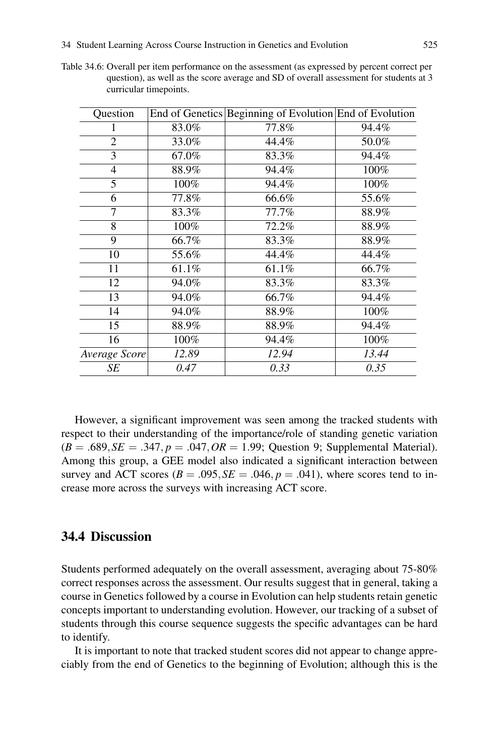<span id="page-12-0"></span>Table 34.6: Overall per item performance on the assessment (as expressed by percent correct per question), as well as the score average and SD of overall assessment for students at 3 curricular timepoints.

| Question      |       | End of Genetics Beginning of Evolution End of Evolution |       |
|---------------|-------|---------------------------------------------------------|-------|
|               | 83.0% | 77.8%                                                   | 94.4% |
| 2             | 33.0% | 44.4%                                                   | 50.0% |
| 3             | 67.0% | 83.3%                                                   | 94.4% |
| 4             | 88.9% | 94.4%                                                   | 100%  |
| 5             | 100%  | 94.4%                                                   | 100%  |
| 6             | 77.8% | 66.6%                                                   | 55.6% |
| 7             | 83.3% | 77.7%                                                   | 88.9% |
| 8             | 100%  | 72.2%                                                   | 88.9% |
| 9             | 66.7% | 83.3%                                                   | 88.9% |
| 10            | 55.6% | 44.4%                                                   | 44.4% |
| 11            | 61.1% | 61.1%                                                   | 66.7% |
| 12            | 94.0% | 83.3%                                                   | 83.3% |
| 13            | 94.0% | 66.7%                                                   | 94.4% |
| 14            | 94.0% | 88.9%                                                   | 100%  |
| 15            | 88.9% | 88.9%                                                   | 94.4% |
| 16            | 100%  | 94.4%                                                   | 100%  |
| Average Score | 12.89 | 12.94                                                   | 13.44 |
| <b>SE</b>     | 0.47  | 0.33                                                    | 0.35  |

However, a significant improvement was seen among the tracked students with respect to their understanding of the importance/role of standing genetic variation  $(B = .689, SE = .347, p = .047, OR = 1.99$ ; Question 9; Supplemental Material). Among this group, a GEE model also indicated a significant interaction between survey and ACT scores ( $B = .095$ ,  $SE = .046$ ,  $p = .041$ ), where scores tend to increase more across the surveys with increasing ACT score.

# 34.4 Discussion

Students performed adequately on the overall assessment, averaging about 75-80% correct responses across the assessment. Our results suggest that in general, taking a course in Genetics followed by a course in Evolution can help students retain genetic concepts important to understanding evolution. However, our tracking of a subset of students through this course sequence suggests the specific advantages can be hard to identify.

It is important to note that tracked student scores did not appear to change appreciably from the end of Genetics to the beginning of Evolution; although this is the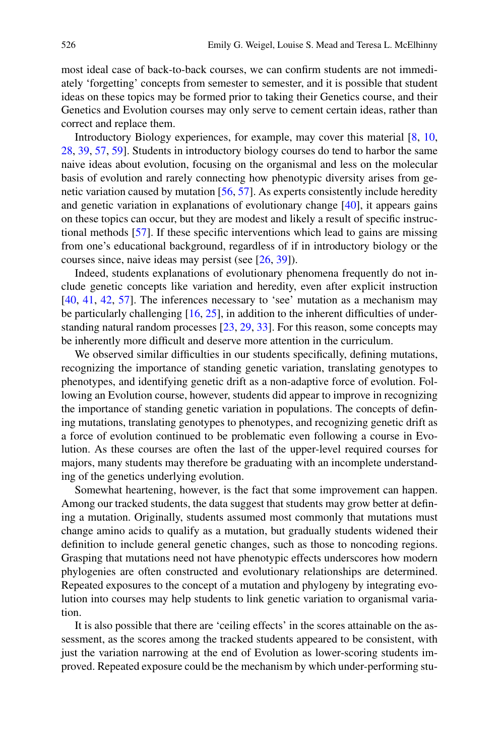most ideal case of back-to-back courses, we can confirm students are not immediately 'forgetting' concepts from semester to semester, and it is possible that student ideas on these topics may be formed prior to taking their Genetics course, and their Genetics and Evolution courses may only serve to cement certain ideas, rather than correct and replace them.

Introductory Biology experiences, for example, may cover this material [[8,](#page-15-17) [10](#page-15-9), [28,](#page-15-18) [39,](#page-16-2) [57,](#page-17-3) [59](#page-17-4)]. Students in introductory biology courses do tend to harbor the same naive ideas about evolution, focusing on the organismal and less on the molecular basis of evolution and rarely connecting how phenotypic diversity arises from genetic variation caused by mutation [\[56](#page-17-5), [57\]](#page-17-3). As experts consistently include heredity and genetic variation in explanations of evolutionary change [[40\]](#page-16-14), it appears gains on these topics can occur, but they are modest and likely a result of specific instructional methods [\[57](#page-17-3)]. If these specific interventions which lead to gains are missing from one's educational background, regardless of if in introductory biology or the courses since, naive ideas may persist (see [\[26](#page-15-19), [39](#page-16-2)]).

Indeed, students explanations of evolutionary phenomena frequently do not include genetic concepts like variation and heredity, even after explicit instruction [\[40](#page-16-14), [41,](#page-16-8) [42,](#page-16-19) [57](#page-17-3)]. The inferences necessary to 'see' mutation as a mechanism may be particularly challenging [\[16](#page-15-12), [25](#page-15-20)], in addition to the inherent difficulties of understanding natural random processes  $[23, 29, 33]$  $[23, 29, 33]$  $[23, 29, 33]$  $[23, 29, 33]$  $[23, 29, 33]$  $[23, 29, 33]$  $[23, 29, 33]$ . For this reason, some concepts may be inherently more difficult and deserve more attention in the curriculum.

We observed similar difficulties in our students specifically, defining mutations, recognizing the importance of standing genetic variation, translating genotypes to phenotypes, and identifying genetic drift as a non-adaptive force of evolution. Following an Evolution course, however, students did appear to improve in recognizing the importance of standing genetic variation in populations. The concepts of defining mutations, translating genotypes to phenotypes, and recognizing genetic drift as a force of evolution continued to be problematic even following a course in Evolution. As these courses are often the last of the upper-level required courses for majors, many students may therefore be graduating with an incomplete understanding of the genetics underlying evolution.

Somewhat heartening, however, is the fact that some improvement can happen. Among our tracked students, the data suggest that students may grow better at defining a mutation. Originally, students assumed most commonly that mutations must change amino acids to qualify as a mutation, but gradually students widened their definition to include general genetic changes, such as those to noncoding regions. Grasping that mutations need not have phenotypic effects underscores how modern phylogenies are often constructed and evolutionary relationships are determined. Repeated exposures to the concept of a mutation and phylogeny by integrating evolution into courses may help students to link genetic variation to organismal variation.

It is also possible that there are 'ceiling effects' in the scores attainable on the assessment, as the scores among the tracked students appeared to be consistent, with just the variation narrowing at the end of Evolution as lower-scoring students improved. Repeated exposure could be the mechanism by which under-performing stu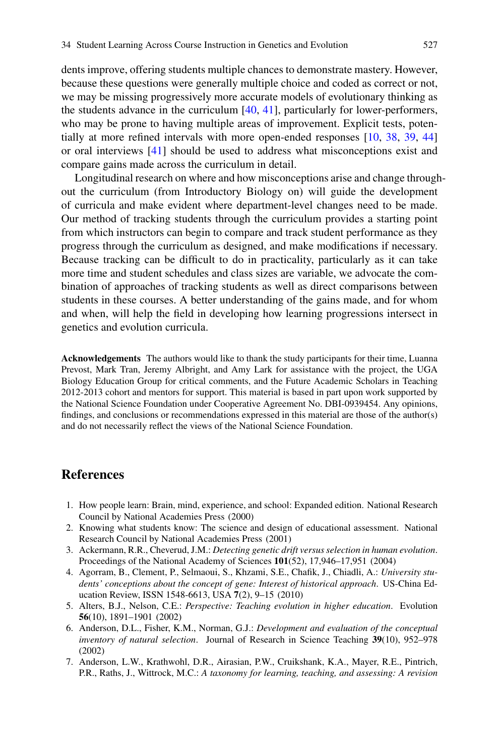dents improve, offering students multiple chances to demonstrate mastery. However, because these questions were generally multiple choice and coded as correct or not, we may be missing progressively more accurate models of evolutionary thinking as the students advance in the curriculum [\[40](#page-16-14), [41\]](#page-16-8), particularly for lower-performers, who may be prone to having multiple areas of improvement. Explicit tests, potentially at more refined intervals with more open-ended responses [[10,](#page-15-9) [38](#page-16-21), [39](#page-16-2), [44](#page-16-22)] or oral interviews [\[41](#page-16-8)] should be used to address what misconceptions exist and compare gains made across the curriculum in detail.

Longitudinal research on where and how misconceptions arise and change throughout the curriculum (from Introductory Biology on) will guide the development of curricula and make evident where department-level changes need to be made. Our method of tracking students through the curriculum provides a starting point from which instructors can begin to compare and track student performance as they progress through the curriculum as designed, and make modifications if necessary. Because tracking can be difficult to do in practicality, particularly as it can take more time and student schedules and class sizes are variable, we advocate the combination of approaches of tracking students as well as direct comparisons between students in these courses. A better understanding of the gains made, and for whom and when, will help the field in developing how learning progressions intersect in genetics and evolution curricula.

<span id="page-14-4"></span>Acknowledgements The authors would like to thank the study participants for their time, Luanna Prevost, Mark Tran, Jeremy Albright, and Amy Lark for assistance with the project, the UGA Biology Education Group for critical comments, and the Future Academic Scholars in Teaching 2012-2013 cohort and mentors for support. This material is based in part upon work supported by the National Science Foundation under Cooperative Agreement No. DBI-0939454. Any opinions, findings, and conclusions or recommendations expressed in this material are those of the author(s) and do not necessarily reflect the views of the National Science Foundation.

### <span id="page-14-5"></span><span id="page-14-3"></span>References

- <span id="page-14-2"></span><span id="page-14-0"></span>1. How people learn: Brain, mind, experience, and school: Expanded edition. National Research Council by National Academies Press (2000)
- <span id="page-14-1"></span>2. Knowing what students know: The science and design of educational assessment. National Research Council by National Academies Press (2001)
- 3. Ackermann, R.R., Cheverud, J.M.: *Detecting genetic drift versus selection in human evolution*. Proceedings of the National Academy of Sciences 101(52), 17,946–17,951 (2004)
- <span id="page-14-6"></span>4. Agorram, B., Clement, P., Selmaoui, S., Khzami, S.E., Chafik, J., Chiadli, A.: *University students' conceptions about the concept of gene: Interest of historical approach*. US-China Education Review, ISSN 1548-6613, USA 7(2), 9–15 (2010)
- 5. Alters, B.J., Nelson, C.E.: *Perspective: Teaching evolution in higher education*. Evolution 56(10), 1891–1901 (2002)
- 6. Anderson, D.L., Fisher, K.M., Norman, G.J.: *Development and evaluation of the conceptual inventory of natural selection*. Journal of Research in Science Teaching 39(10), 952–978 (2002)
- 7. Anderson, L.W., Krathwohl, D.R., Airasian, P.W., Cruikshank, K.A., Mayer, R.E., Pintrich, P.R., Raths, J., Wittrock, M.C.: *A taxonomy for learning, teaching, and assessing: A revision*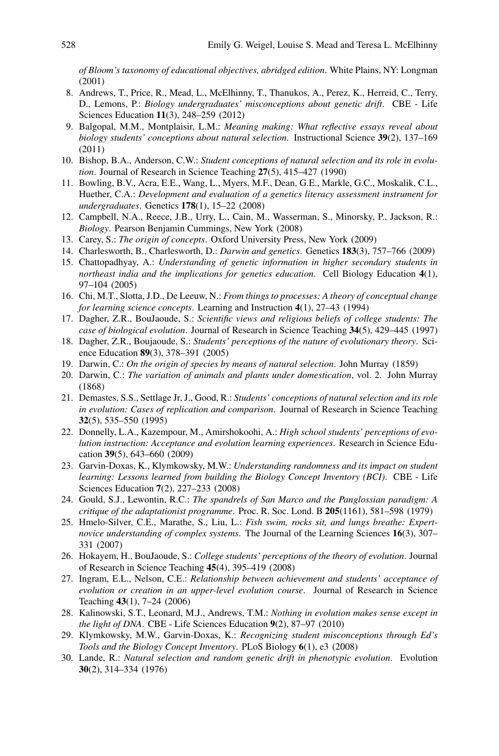<span id="page-15-17"></span><span id="page-15-15"></span><span id="page-15-9"></span><span id="page-15-5"></span>*of Bloom's taxonomy of educational objectives, abridged edition*. White Plains, NY: Longman (2001)

- 8. Andrews, T., Price, R., Mead, L., McElhinny, T., Thanukos, A., Perez, K., Herreid, C., Terry, D., Lemons, P.: *Biology undergraduates' misconceptions about genetic drift*. CBE - Life Sciences Education 11(3), 248–259 (2012)
- <span id="page-15-16"></span><span id="page-15-11"></span>9. Balgopal, M.M., Montplaisir, L.M.: *Meaning making: What reflective essays reveal about biology students' conceptions about natural selection*. Instructional Science 39(2), 137–169 (2011)
- <span id="page-15-3"></span><span id="page-15-2"></span>10. Bishop, B.A., Anderson, C.W.: *Student conceptions of natural selection and its role in evolution*. Journal of Research in Science Teaching 27(5), 415–427 (1990)
- <span id="page-15-12"></span>11. Bowling, B.V., Acra, E.E., Wang, L., Myers, M.F., Dean, G.E., Markle, G.C., Moskalik, C.L., Huether, C.A.: *Development and evaluation of a genetics literacy assessment instrument for undergraduates*. Genetics 178(1), 15–22 (2008)
- <span id="page-15-6"></span>12. Campbell, N.A., Reece, J.B., Urry, L., Cain, M., Wasserman, S., Minorsky, P., Jackson, R.: *Biology*. Pearson Benjamin Cummings, New York (2008)
- <span id="page-15-7"></span>13. Carey, S.: *The origin of concepts*. Oxford University Press, New York (2009)
- 14. Charlesworth, B., Charlesworth, D.: *Darwin and genetics*. Genetics 183(3), 757–766 (2009)
- <span id="page-15-1"></span><span id="page-15-0"></span>15. Chattopadhyay, A.: *Understanding of genetic information in higher secondary students in northeast india and the implications for genetics education*. Cell Biology Education 4(1), 97–104 (2005)
- <span id="page-15-10"></span>16. Chi, M.T., Slotta, J.D., De Leeuw, N.: *From things to processes: A theory of conceptual change for learning science concepts*. Learning and Instruction 4(1), 27–43 (1994)
- 17. Dagher, Z.R., BouJaoude, S.: *Scientific views and religious beliefs of college students: The case of biological evolution*. Journal of Research in Science Teaching 34(5), 429–445 (1997)
- <span id="page-15-4"></span>18. Dagher, Z.R., Boujaoude, S.: *Students' perceptions of the nature of evolutionary theory*. Science Education 89(3), 378–391 (2005)
- <span id="page-15-21"></span>19. Darwin, C.: *On the origin of species by means of natural selection*. John Murray (1859)
- 20. Darwin, C.: *The variation of animals and plants under domestication*, vol. 2. John Murray (1868)
- <span id="page-15-13"></span>21. Demastes, S.S., Settlage Jr, J., Good, R.: *Students' conceptions of natural selection and its role in evolution: Cases of replication and comparison*. Journal of Research in Science Teaching 32(5), 535–550 (1995)
- <span id="page-15-20"></span>22. Donnelly, L.A., Kazempour, M., Amirshokoohi, A.: *High school students' perceptions of evolution instruction: Acceptance and evolution learning experiences*. Research in Science Education 39(5), 643–660 (2009)
- <span id="page-15-19"></span><span id="page-15-8"></span>23. Garvin-Doxas, K., Klymkowsky, M.W.: *Understanding randomness and its impact on student learning: Lessons learned from building the Biology Concept Inventory (BCI)*. CBE - Life Sciences Education 7(2), 227–233 (2008)
- 24. Gould, S.J., Lewontin, R.C.: *The spandrels of San Marco and the Panglossian paradigm: A critique of the adaptationist programme*. Proc. R. Soc. Lond. B 205(1161), 581–598 (1979)
- <span id="page-15-18"></span>25. Hmelo-Silver, C.E., Marathe, S., Liu, L.: *Fish swim, rocks sit, and lungs breathe: Expertnovice understanding of complex systems*. The Journal of the Learning Sciences 16(3), 307– 331 (2007)
- <span id="page-15-22"></span><span id="page-15-14"></span>26. Hokayem, H., BouJaoude, S.: *College students' perceptions of the theory of evolution*. Journal of Research in Science Teaching 45(4), 395–419 (2008)
- 27. Ingram, E.L., Nelson, C.E.: *Relationship between achievement and students' acceptance of evolution or creation in an upper-level evolution course*. Journal of Research in Science Teaching 43(1), 7–24 (2006)
- 28. Kalinowski, S.T., Leonard, M.J., Andrews, T.M.: *Nothing in evolution makes sense except in the light of DNA*. CBE - Life Sciences Education 9(2), 87–97 (2010)
- 29. Klymkowsky, M.W., Garvin-Doxas, K.: *Recognizing student misconceptions through Ed's Tools and the Biology Concept Inventory*. PLoS Biology 6(1), e3 (2008)
- 30. Lande, R.: *Natural selection and random genetic drift in phenotypic evolution*. Evolution 30(2), 314–334 (1976)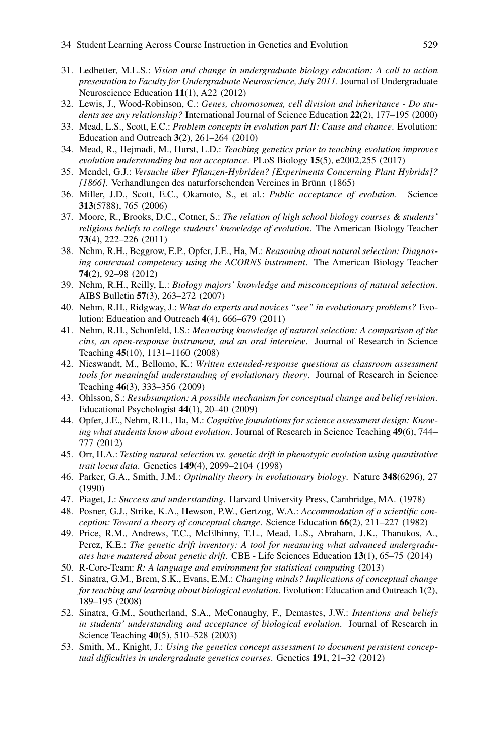- <span id="page-16-20"></span><span id="page-16-9"></span><span id="page-16-4"></span><span id="page-16-1"></span><span id="page-16-0"></span>31. Ledbetter, M.L.S.: *Vision and change in undergraduate biology education: A call to action presentation to Faculty for Undergraduate Neuroscience, July 2011*. Journal of Undergraduate Neuroscience Education 11(1), A22 (2012)
- <span id="page-16-3"></span>32. Lewis, J., Wood-Robinson, C.: *Genes, chromosomes, cell division and inheritance - Do students see any relationship?* International Journal of Science Education 22(2), 177–195 (2000)
- <span id="page-16-6"></span>33. Mead, L.S., Scott, E.C.: *Problem concepts in evolution part II: Cause and chance*. Evolution: Education and Outreach 3(2), 261–264 (2010)
- <span id="page-16-21"></span>34. Mead, R., Hejmadi, M., Hurst, L.D.: *Teaching genetics prior to teaching evolution improves evolution understanding but not acceptance*. PLoS Biology 15(5), e2002,255 (2017)
- 35. Mendel, G.J.: *Versuche uber Pflanzen-Hybriden? [Experiments Concerning Plant Hybrids]? ¨ [1866]*. Verhandlungen des naturforschenden Vereines in Brünn (1865)
- <span id="page-16-2"></span>36. Miller, J.D., Scott, E.C., Okamoto, S., et al.: *Public acceptance of evolution*. Science 313(5788), 765 (2006)
- <span id="page-16-14"></span>37. Moore, R., Brooks, D.C., Cotner, S.: *The relation of high school biology courses & students' religious beliefs to college students' knowledge of evolution*. The American Biology Teacher 73(4), 222–226 (2011)
- <span id="page-16-19"></span><span id="page-16-8"></span>38. Nehm, R.H., Beggrow, E.P., Opfer, J.E., Ha, M.: *Reasoning about natural selection: Diagnosing contextual competency using the ACORNS instrument*. The American Biology Teacher 74(2), 92–98 (2012)
- 39. Nehm, R.H., Reilly, L.: *Biology majors' knowledge and misconceptions of natural selection*. AIBS Bulletin 57(3), 263–272 (2007)
- <span id="page-16-13"></span>40. Nehm, R.H., Ridgway, J.: *What do experts and novices "see" in evolutionary problems?* Evolution: Education and Outreach 4(4), 666–679 (2011)
- <span id="page-16-22"></span>41. Nehm, R.H., Schonfeld, I.S.: *Measuring knowledge of natural selection: A comparison of the cins, an open-response instrument, and an oral interview*. Journal of Research in Science Teaching 45(10), 1131–1160 (2008)
- <span id="page-16-16"></span><span id="page-16-15"></span>42. Nieswandt, M., Bellomo, K.: *Written extended-response questions as classroom assessment tools for meaningful understanding of evolutionary theory*. Journal of Research in Science Teaching 46(3), 333–356 (2009)
- <span id="page-16-10"></span>43. Ohlsson, S.: *Resubsumption: A possible mechanism for conceptual change and belief revision*. Educational Psychologist 44(1), 20–40 (2009)
- <span id="page-16-17"></span><span id="page-16-11"></span>44. Opfer, J.E., Nehm, R.H., Ha, M.: *Cognitive foundations for science assessment design: Knowing what students know about evolution*. Journal of Research in Science Teaching 49(6), 744– 777 (2012)
- 45. Orr, H.A.: *Testing natural selection vs. genetic drift in phenotypic evolution using quantitative trait locus data*. Genetics 149(4), 2099–2104 (1998)
- <span id="page-16-18"></span><span id="page-16-12"></span>46. Parker, G.A., Smith, J.M.: *Optimality theory in evolutionary biology*. Nature 348(6296), 27 (1990)
- 47. Piaget, J.: *Success and understanding*. Harvard University Press, Cambridge, MA. (1978)
- <span id="page-16-7"></span>48. Posner, G.J., Strike, K.A., Hewson, P.W., Gertzog, W.A.: *Accommodation of a scientific conception: Toward a theory of conceptual change*. Science Education 66(2), 211–227 (1982)
- <span id="page-16-5"></span>49. Price, R.M., Andrews, T.C., McElhinny, T.L., Mead, L.S., Abraham, J.K., Thanukos, A., Perez, K.E.: *The genetic drift inventory: A tool for measuring what advanced undergraduates have mastered about genetic drift*. CBE - Life Sciences Education 13(1), 65–75 (2014)
- 50. R-Core-Team: *R: A language and environment for statistical computing* (2013)
- 51. Sinatra, G.M., Brem, S.K., Evans, E.M.: *Changing minds? Implications of conceptual change for teaching and learning about biological evolution*. Evolution: Education and Outreach 1(2), 189–195 (2008)
- 52. Sinatra, G.M., Southerland, S.A., McConaughy, F., Demastes, J.W.: *Intentions and beliefs in students' understanding and acceptance of biological evolution*. Journal of Research in Science Teaching 40(5), 510–528 (2003)
- 53. Smith, M., Knight, J.: *Using the genetics concept assessment to document persistent conceptual difficulties in undergraduate genetics courses*. Genetics 191, 21–32 (2012)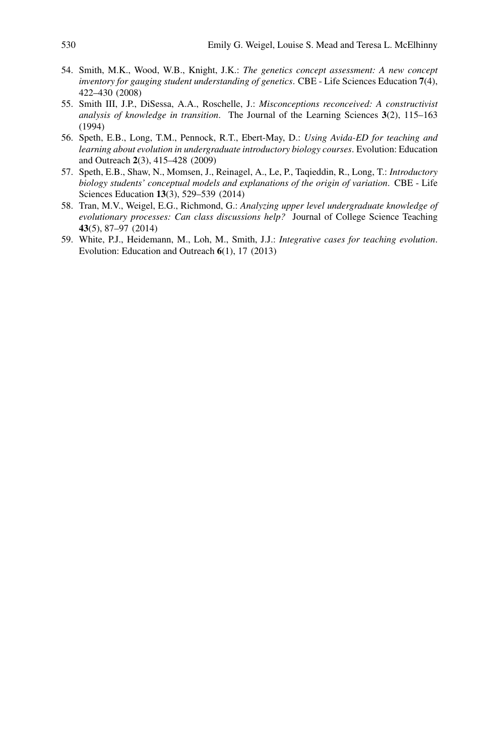- <span id="page-17-5"></span><span id="page-17-3"></span><span id="page-17-2"></span><span id="page-17-1"></span>54. Smith, M.K., Wood, W.B., Knight, J.K.: *The genetics concept assessment: A new concept inventory for gauging student understanding of genetics*. CBE - Life Sciences Education 7(4), 422–430 (2008)
- <span id="page-17-0"></span>55. Smith III, J.P., DiSessa, A.A., Roschelle, J.: *Misconceptions reconceived: A constructivist analysis of knowledge in transition*. The Journal of the Learning Sciences 3(2), 115–163 (1994)
- <span id="page-17-4"></span>56. Speth, E.B., Long, T.M., Pennock, R.T., Ebert-May, D.: *Using Avida-ED for teaching and learning about evolution in undergraduate introductory biology courses*. Evolution: Education and Outreach 2(3), 415–428 (2009)
- 57. Speth, E.B., Shaw, N., Momsen, J., Reinagel, A., Le, P., Taqieddin, R., Long, T.: *Introductory biology students' conceptual models and explanations of the origin of variation*. CBE - Life Sciences Education 13(3), 529–539 (2014)
- 58. Tran, M.V., Weigel, E.G., Richmond, G.: *Analyzing upper level undergraduate knowledge of evolutionary processes: Can class discussions help?* Journal of College Science Teaching 43(5), 87–97 (2014)
- 59. White, P.J., Heidemann, M., Loh, M., Smith, J.J.: *Integrative cases for teaching evolution*. Evolution: Education and Outreach 6(1), 17 (2013)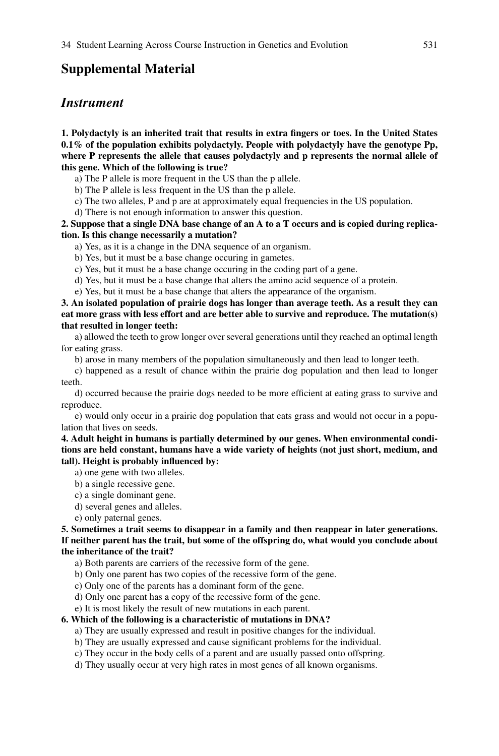# Supplemental Material

# *Instrument*

1. Polydactyly is an inherited trait that results in extra fingers or toes. In the United States 0.1% of the population exhibits polydactyly. People with polydactyly have the genotype Pp, where P represents the allele that causes polydactyly and p represents the normal allele of this gene. Which of the following is true?

a) The P allele is more frequent in the US than the p allele.

b) The P allele is less frequent in the US than the p allele.

c) The two alleles, P and p are at approximately equal frequencies in the US population.

d) There is not enough information to answer this question.

2. Suppose that a single DNA base change of an A to a T occurs and is copied during replication. Is this change necessarily a mutation?

a) Yes, as it is a change in the DNA sequence of an organism.

b) Yes, but it must be a base change occuring in gametes.

c) Yes, but it must be a base change occuring in the coding part of a gene.

d) Yes, but it must be a base change that alters the amino acid sequence of a protein.

e) Yes, but it must be a base change that alters the appearance of the organism.

3. An isolated population of prairie dogs has longer than average teeth. As a result they can eat more grass with less effort and are better able to survive and reproduce. The mutation(s) that resulted in longer teeth:

a) allowed the teeth to grow longer over several generations until they reached an optimal length for eating grass.

b) arose in many members of the population simultaneously and then lead to longer teeth.

c) happened as a result of chance within the prairie dog population and then lead to longer teeth.

d) occurred because the prairie dogs needed to be more efficient at eating grass to survive and reproduce.

e) would only occur in a prairie dog population that eats grass and would not occur in a population that lives on seeds.

4. Adult height in humans is partially determined by our genes. When environmental conditions are held constant, humans have a wide variety of heights (not just short, medium, and tall). Height is probably influenced by:

a) one gene with two alleles.

- b) a single recessive gene.
- c) a single dominant gene.
- d) several genes and alleles.
- e) only paternal genes.

5. Sometimes a trait seems to disappear in a family and then reappear in later generations. If neither parent has the trait, but some of the offspring do, what would you conclude about the inheritance of the trait?

a) Both parents are carriers of the recessive form of the gene.

b) Only one parent has two copies of the recessive form of the gene.

c) Only one of the parents has a dominant form of the gene.

d) Only one parent has a copy of the recessive form of the gene.

e) It is most likely the result of new mutations in each parent.

#### 6. Which of the following is a characteristic of mutations in DNA?

- a) They are usually expressed and result in positive changes for the individual.
- b) They are usually expressed and cause significant problems for the individual.
- c) They occur in the body cells of a parent and are usually passed onto offspring.
- d) They usually occur at very high rates in most genes of all known organisms.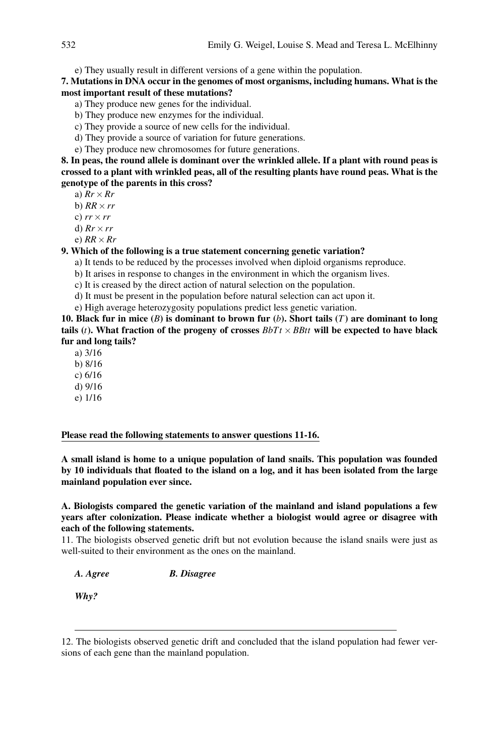e) They usually result in different versions of a gene within the population.

7. Mutations in DNA occur in the genomes of most organisms, including humans. What is the most important result of these mutations?

- a) They produce new genes for the individual.
- b) They produce new enzymes for the individual.
- c) They provide a source of new cells for the individual.
- d) They provide a source of variation for future generations.
- e) They produce new chromosomes for future generations.

8. In peas, the round allele is dominant over the wrinkled allele. If a plant with round peas is crossed to a plant with wrinkled peas, all of the resulting plants have round peas. What is the genotype of the parents in this cross?

a)  $Rr \times Rr$ 

b)  $RR \times rr$ 

- c)  $rr \times rr$
- d)  $Rr \times rr$
- e) *RR*×*Rr*

#### 9. Which of the following is a true statement concerning genetic variation?

a) It tends to be reduced by the processes involved when diploid organisms reproduce.

- b) It arises in response to changes in the environment in which the organism lives.
- c) It is creased by the direct action of natural selection on the population.
- d) It must be present in the population before natural selection can act upon it.
- e) High average heterozygosity populations predict less genetic variation.

10. Black fur in mice (*B*) is dominant to brown fur (*b*). Short tails (*T*) are dominant to long tails (*t*). What fraction of the progeny of crosses  $BbTt \times BBtt$  will be expected to have black fur and long tails?

- a) 3/16
- b) 8/16
- c) 6/16
- d) 9/16
- e) 1/16

Please read the following statements to answer questions 11-16.

A small island is home to a unique population of land snails. This population was founded by 10 individuals that floated to the island on a log, and it has been isolated from the large mainland population ever since.

#### A. Biologists compared the genetic variation of the mainland and island populations a few years after colonization. Please indicate whether a biologist would agree or disagree with each of the following statements.

11. The biologists observed genetic drift but not evolution because the island snails were just as well-suited to their environment as the ones on the mainland.

*A. Agree B. Disagree*

*Why?*

12. The biologists observed genetic drift and concluded that the island population had fewer versions of each gene than the mainland population.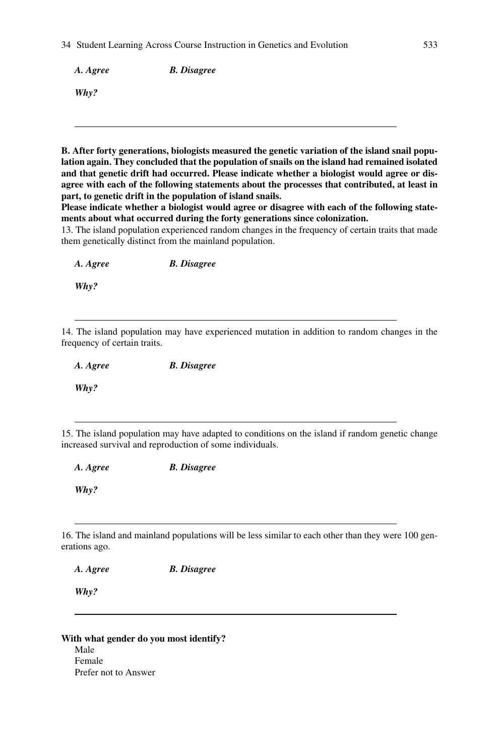34 Student Learning Across Course Instruction in Genetics and Evolution 533

*A. Agree B. Disagree*

*Why?*

B. After forty generations, biologists measured the genetic variation of the island snail population again. They concluded that the population of snails on the island had remained isolated and that genetic drift had occurred. Please indicate whether a biologist would agree or disagree with each of the following statements about the processes that contributed, at least in part, to genetic drift in the population of island snails.

Please indicate whether a biologist would agree or disagree with each of the following statements about what occurred during the forty generations since colonization.

13. The island population experienced random changes in the frequency of certain traits that made them genetically distinct from the mainland population.

*A. Agree B. Disagree*

*Why?*

14. The island population may have experienced mutation in addition to random changes in the frequency of certain traits.

*A. Agree B. Disagree*

*Why?*

15. The island population may have adapted to conditions on the island if random genetic change increased survival and reproduction of some individuals.

*A. Agree B. Disagree*

*Why?*

16. The island and mainland populations will be less similar to each other than they were 100 generations ago.

*A. Agree B. Disagree*

*Why?*

With what gender do you most identify? Male Female Prefer not to Answer